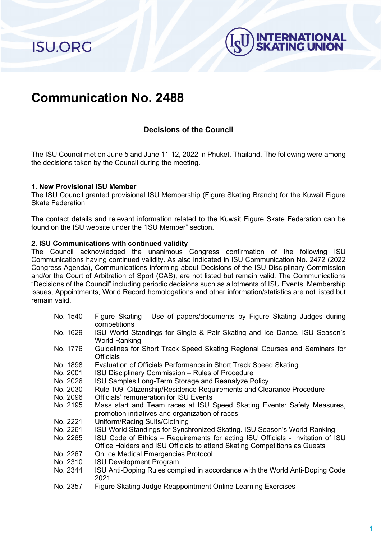**ISU.ORG** 



# **Communication No. 2488**

# **Decisions of the Council**

The ISU Council met on June 5 and June 11-12, 2022 in Phuket, Thailand. The following were among the decisions taken by the Council during the meeting.

#### **1. New Provisional ISU Member**

The ISU Council granted provisional ISU Membership (Figure Skating Branch) for the Kuwait Figure Skate Federation.

The contact details and relevant information related to the Kuwait Figure Skate Federation can be found on the ISU website under the "ISU Member" section.

#### **2. ISU Communications with continued validity**

The Council acknowledged the unanimous Congress confirmation of the following ISU Communications having continued validity. As also indicated in ISU Communication No. 2472 (2022 Congress Agenda), Communications informing about Decisions of the ISU Disciplinary Commission and/or the Court of Arbitration of Sport (CAS), are not listed but remain valid. The Communications "Decisions of the Council" including periodic decisions such as allotments of ISU Events, Membership issues, Appointments, World Record homologations and other information/statistics are not listed but remain valid.

- No. 1540 Figure Skating Use of papers/documents by Figure Skating Judges during competitions
- No. 1629 ISU World Standings for Single & Pair Skating and Ice Dance. ISU Season's World Ranking
- No. 1776 Guidelines for Short Track Speed Skating Regional Courses and Seminars for **Officials**
- No. 1898 Evaluation of Officials Performance in Short Track Speed Skating<br>No. 2001 ISU Disciplinary Commission Rules of Procedure
- No. 2001 ISU Disciplinary Commission Rules of Procedure<br>No. 2026 ISU Samples Long-Term Storage and Reanalyze P
- No. 2026 ISU Samples Long-Term Storage and Reanalyze Policy<br>No. 2030 Rule 109. Citizenship/Residence Requirements and Clea
- Rule 109, Citizenship/Residence Requirements and Clearance Procedure
- No. 2096 Officials' remuneration for ISU Events<br>No. 2195 Mass start and Team races at ISU
- Mass start and Team races at ISU Speed Skating Events: Safety Measures, promotion initiatives and organization of races
- No. 2221 Uniform/Racing Suits/Clothing<br>No. 2261 ISU World Standings for Synch
- No. 2261 ISU World Standings for Synchronized Skating. ISU Season's World Ranking<br>No. 2265 ISU Code of Ethics Requirements for acting ISU Officials Invitation of I
- ISU Code of Ethics Requirements for acting ISU Officials Invitation of ISU Office Holders and ISU Officials to attend Skating Competitions as Guests
- No. 2267 On Ice Medical Emergencies Protocol
- No. 2310 ISU Development Program
- No. 2344 ISU Anti-Doping Rules compiled in accordance with the World Anti-Doping Code 2021
- No. 2357 Figure Skating Judge Reappointment Online Learning Exercises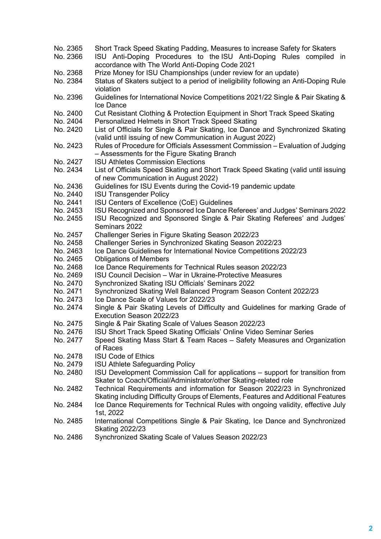- No. 2365 Short Track Speed Skating Padding, Measures to increase Safety for Skaters<br>No. 2366 ISU Anti-Doping Procedures to the ISU Anti-Doping Rules compiled
- ISU Anti-Doping Procedures to the ISU Anti-Doping Rules compiled in accordance with The World Anti-Doping Code 2021
- No. 2368 Prize Money for ISU Championships (under review for an update)<br>No. 2384 Status of Skaters subiect to a period of ineligibility following an An
- Status of Skaters subject to a period of ineligibility following an Anti-Doping Rule violation
- No. 2396 Guidelines for International Novice Competitions 2021/22 Single & Pair Skating & Ice Dance
- No. 2400 Cut Resistant Clothing & Protection Equipment in Short Track Speed Skating<br>No. 2404 Personalized Helmets in Short Track Speed Skating
- No. 2404 Personalized Helmets in Short Track Speed Skating<br>No. 2420 List of Officials for Single & Pair Skating. Ice Dance
- List of Officials for Single & Pair Skating, Ice Dance and Synchronized Skating (valid until issuing of new Communication in August 2022)
- No. 2423 Rules of Procedure for Officials Assessment Commission Evaluation of Judging – Assessments for the Figure Skating Branch
- No. 2427 ISU Athletes Commission Elections<br>No. 2434 List of Officials Speed Skating and S
- List of Officials Speed Skating and Short Track Speed Skating (valid until issuing of new Communication in August 2022)
- No. 2436 Guidelines for ISU Events during the Covid-19 pandemic update<br>No. 2440 ISU Transgender Policy
- No. 2440 ISU Transgender Policy<br>No. 2441 ISU Centers of Excellen
- No. 2441 ISU Centers of Excellence (CoE) Guidelines<br>No. 2453 ISU Recognized and Sponsored Ice Dance R
- No. 2453 ISU Recognized and Sponsored Ice Dance Referees' and Judges' Seminars 2022<br>No. 2455 ISU Recognized and Sponsored Single & Pair Skating Referees' and Judges'
- ISU Recognized and Sponsored Single & Pair Skating Referees' and Judges' Seminars 2022
- No. 2457 Challenger Series in Figure Skating Season 2022/23
- No. 2458 Challenger Series in Synchronized Skating Season 2022/23
- No. 2463 Ice Dance Guidelines for International Novice Competitions 2022/23<br>No. 2465 Obligations of Members
- No. 2465 Obligations of Members<br>No. 2468 Ice Dance Requirements
- Ice Dance Requirements for Technical Rules season 2022/23
- No. 2469 ISU Council Decision War in Ukraine-Protective Measures<br>No. 2470 Synchronized Skating ISU Officials' Seminars 2022
- No. 2470 Synchronized Skating ISU Officials' Seminars 2022
- No. 2471 Synchronized Skating Well Balanced Program Season Content 2022/23<br>No. 2473 Lee Dance Scale of Values for 2022/23
- No. 2473 Ice Dance Scale of Values for 2022/23<br>No. 2474 Single & Pair Skating Levels of Difficu
- Single & Pair Skating Levels of Difficulty and Guidelines for marking Grade of Execution Season 2022/23
- No. 2475 Single & Pair Skating Scale of Values Season 2022/23
- No. 2476 ISU Short Track Speed Skating Officials' Online Video Seminar Series
- No. 2477 Speed Skating Mass Start & Team Races Safety Measures and Organization of Races
- No. 2478 ISU Code of Ethics<br>No. 2479 ISU Athlete Safegua
- No. 2479 ISU Athlete Safeguarding Policy<br>No. 2480 ISU Development Commission C
- ISU Development Commission Call for applications support for transition from Skater to Coach/Official/Administrator/other Skating-related role
- No. 2482 Technical Requirements and information for Season 2022/23 in Synchronized Skating including Difficulty Groups of Elements, Features and Additional Features
- No. 2484 Ice Dance Requirements for Technical Rules with ongoing validity, effective July 1st, 2022
- No. 2485 International Competitions Single & Pair Skating, Ice Dance and Synchronized Skating 2022/23
- No. 2486 Synchronized Skating Scale of Values Season 2022/23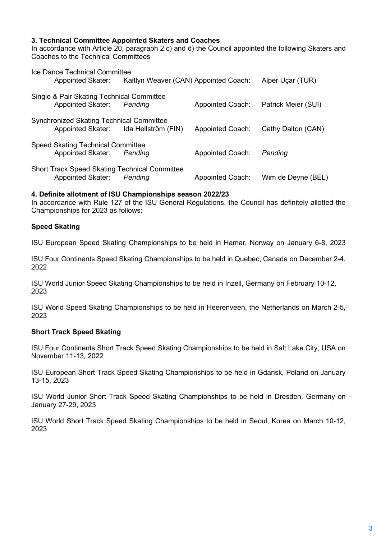## **3. Technical Committee Appointed Skaters and Coaches**

In accordance with Article 20, paragraph 2.c) and d) the Council appointed the following Skaters and Coaches to the Technical Committees

| <b>Ice Dance Technical Committee</b><br><b>Appointed Skater:</b>                 | Kaitlyn Weaver (CAN) Appointed Coach: |                         | Alper Uçar (TUR)    |
|----------------------------------------------------------------------------------|---------------------------------------|-------------------------|---------------------|
| Single & Pair Skating Technical Committee<br><b>Appointed Skater:</b>            | Pending                               | <b>Appointed Coach:</b> | Patrick Meier (SUI) |
| <b>Synchronized Skating Technical Committee</b>                                  | Appointed Skater: Ida Hellström (FIN) | <b>Appointed Coach:</b> | Cathy Dalton (CAN)  |
| <b>Speed Skating Technical Committee</b><br><b>Appointed Skater:</b>             | Pending                               | <b>Appointed Coach:</b> | Pending             |
| <b>Short Track Speed Skating Technical Committee</b><br><b>Appointed Skater:</b> | Pending                               | <b>Appointed Coach:</b> | Wim de Deyne (BEL)  |

## **4. Definite allotment of ISU Championships season 2022/23**

In accordance with Rule 127 of the ISU General Regulations, the Council has definitely allotted the Championships for 2023 as follows:

## **Speed Skating**

ISU European Speed Skating Championships to be held in Hamar, Norway on January 6-8, 2023

ISU Four Continents Speed Skating Championships to be held in Quebec, Canada on December 2-4, 2022

ISU World Junior Speed Skating Championships to be held in Inzell, Germany on February 10-12, 2023

ISU World Speed Skating Championships to be held in Heerenveen, the Netherlands on March 2-5, 2023

## **Short Track Speed Skating**

ISU Four Continents Short Track Speed Skating Championships to be held in Salt Lake City, USA on November 11-13, 2022

ISU European Short Track Speed Skating Championships to be held in Gdansk, Poland on January 13-15, 2023

ISU World Junior Short Track Speed Skating Championships to be held in Dresden, Germany on January 27-29, 2023

ISU World Short Track Speed Skating Championships to be held in Seoul, Korea on March 10-12, 2023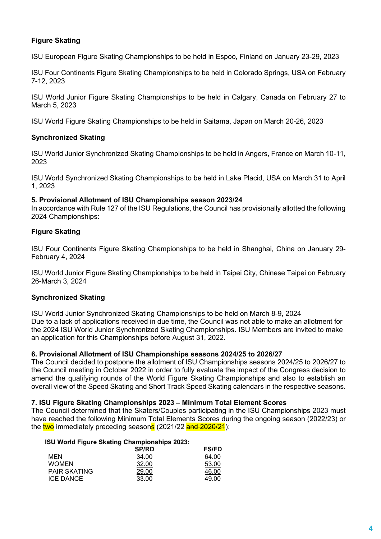## **Figure Skating**

ISU European Figure Skating Championships to be held in Espoo, Finland on January 23-29, 2023

ISU Four Continents Figure Skating Championships to be held in Colorado Springs, USA on February 7-12, 2023

ISU World Junior Figure Skating Championships to be held in Calgary, Canada on February 27 to March 5, 2023

ISU World Figure Skating Championships to be held in Saitama, Japan on March 20-26, 2023

## **Synchronized Skating**

ISU World Junior Synchronized Skating Championships to be held in Angers, France on March 10-11, 2023

ISU World Synchronized Skating Championships to be held in Lake Placid, USA on March 31 to April 1, 2023

#### **5. Provisional Allotment of ISU Championships season 2023/24**

In accordance with Rule 127 of the ISU Regulations, the Council has provisionally allotted the following 2024 Championships:

## **Figure Skating**

ISU Four Continents Figure Skating Championships to be held in Shanghai, China on January 29- February 4, 2024

ISU World Junior Figure Skating Championships to be held in Taipei City, Chinese Taipei on February 26-March 3, 2024

## **Synchronized Skating**

ISU World Junior Synchronized Skating Championships to be held on March 8-9, 2024 Due to a lack of applications received in due time, the Council was not able to make an allotment for the 2024 ISU World Junior Synchronized Skating Championships. ISU Members are invited to make an application for this Championships before August 31, 2022.

## **6. Provisional Allotment of ISU Championships seasons 2024/25 to 2026/27**

The Council decided to postpone the allotment of ISU Championships seasons 2024/25 to 2026/27 to the Council meeting in October 2022 in order to fully evaluate the impact of the Congress decision to amend the qualifying rounds of the World Figure Skating Championships and also to establish an overall view of the Speed Skating and Short Track Speed Skating calendars in the respective seasons.

## **7. ISU Figure Skating Championships 2023 – Minimum Total Element Scores**

The Council determined that the Skaters/Couples participating in the ISU Championships 2023 must have reached the following Minimum Total Elements Scores during the ongoing season (2022/23) or the two immediately preceding seasons (2021/22 and 2020/24):

#### **ISU World Figure Skating Championships 2023:**

|                     | <b>SP/RD</b> | <b>FS/FD</b> |
|---------------------|--------------|--------------|
| MEN                 | 34.00        | 64.00        |
| <b>WOMEN</b>        | 32.00        | 53.00        |
| <b>PAIR SKATING</b> | 29.00        | 46.00        |
| ICE DANCE           | 33.00        | 49.00        |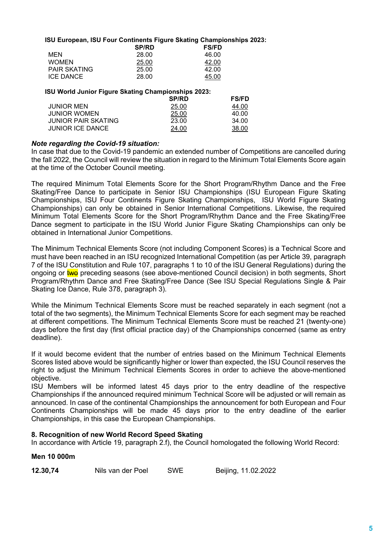#### **ISU European, ISU Four Continents Figure Skating Championships 2023:**

|                     | <b>SP/RD</b> | <b>FS/FD</b> |
|---------------------|--------------|--------------|
| MEN                 | 28.00        | 46.00        |
| <b>WOMEN</b>        | 25.00        | 42.00        |
| <b>PAIR SKATING</b> | 25.00        | 42.00        |
| ICE DANCE           | 28.00        | 45.00        |

#### **ISU World Junior Figure Skating Championships 2023:**

|                            | <b>SP/RD</b> | <b>FS/FD</b> |
|----------------------------|--------------|--------------|
| <b>JUNIOR MEN</b>          | 25.00        | 44.00        |
| <b>JUNIOR WOMEN</b>        | 25.00        | 40.00        |
| <b>JUNIOR PAIR SKATING</b> | 23.00        | 34.00        |
| <b>JUNIOR ICE DANCE</b>    | 24.00        | 38.00        |

#### *Note regarding the Covid-19 situation:*

In case that due to the Covid-19 pandemic an extended number of Competitions are cancelled during the fall 2022, the Council will review the situation in regard to the Minimum Total Elements Score again at the time of the October Council meeting.

The required Minimum Total Elements Score for the Short Program/Rhythm Dance and the Free Skating/Free Dance to participate in Senior ISU Championships (ISU European Figure Skating Championships, ISU Four Continents Figure Skating Championships, ISU World Figure Skating Championships) can only be obtained in Senior International Competitions. Likewise, the required Minimum Total Elements Score for the Short Program/Rhythm Dance and the Free Skating/Free Dance segment to participate in the ISU World Junior Figure Skating Championships can only be obtained in International Junior Competitions.

The Minimum Technical Elements Score (not including Component Scores) is a Technical Score and must have been reached in an ISU recognized International Competition (as per Article 39, paragraph 7 of the ISU Constitution and Rule 107, paragraphs 1 to 10 of the ISU General Regulations) during the ongoing or **two** preceding seasons (see above-mentioned Council decision) in both segments, Short Program/Rhythm Dance and Free Skating/Free Dance (See ISU Special Regulations Single & Pair Skating Ice Dance, Rule 378, paragraph 3).

While the Minimum Technical Elements Score must be reached separately in each segment (not a total of the two segments), the Minimum Technical Elements Score for each segment may be reached at different competitions. The Minimum Technical Elements Score must be reached 21 (twenty-one) days before the first day (first official practice day) of the Championships concerned (same as entry deadline).

If it would become evident that the number of entries based on the Minimum Technical Elements Scores listed above would be significantly higher or lower than expected, the ISU Council reserves the right to adjust the Minimum Technical Elements Scores in order to achieve the above-mentioned objective.

ISU Members will be informed latest 45 days prior to the entry deadline of the respective Championships if the announced required minimum Technical Score will be adjusted or will remain as announced. In case of the continental Championships the announcement for both European and Four Continents Championships will be made 45 days prior to the entry deadline of the earlier Championships, in this case the European Championships.

## **8. Recognition of new World Record Speed Skating**

In accordance with Article 19, paragraph 2.f), the Council homologated the following World Record:

**12.30,74** Nils van der Poel SWE Beijing, 11.02.2022

## **Men 10 000m**

| 12.30,74 | Nils van der Poel | SWE | Beijing, |
|----------|-------------------|-----|----------|
|          |                   |     |          |